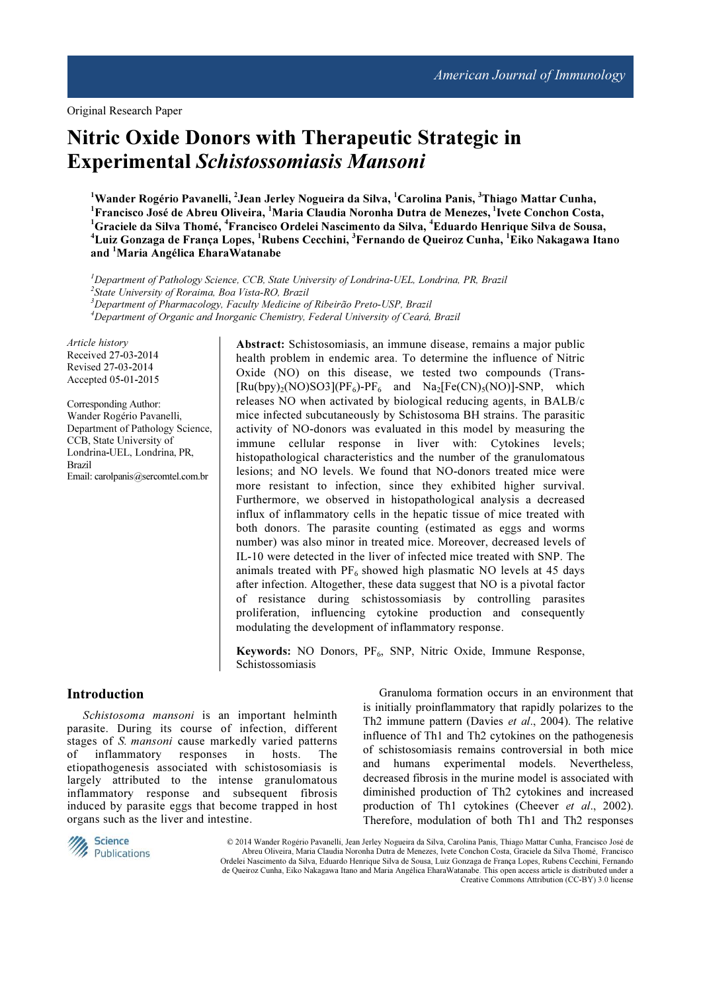Original Research Paper

# Nitric Oxide Donors with Therapeutic Strategic in Experimental Schistossomiasis Mansoni

 $^{\rm 1}$ Wander Rogério Pavanelli,  $^{\rm 2}$ Jean Jerley Nogueira da Silva,  $^{\rm 1}$ Carolina Panis,  $^{\rm 3}$ Thiago Mattar Cunha, <sup>1</sup> Francisco José de Abreu Oliveira, <sup>1</sup> Maria Claudia Noronha Dutra de Menezes, <sup>1</sup> Ivete Conchon Costa, <sup>1</sup>Graciele da Silva Thomé, <sup>4</sup>Francisco Ordelei Nascimento da Silva, <sup>4</sup>Eduardo Henrique Silva de Sousa, <sup>4</sup>Luiz Gonzaga de França Lopes, <sup>1</sup>Rubens Cecchini, <sup>3</sup>Fernando de Queiroz Cunha, <sup>1</sup>Eiko Nakagawa Itano and <sup>1</sup>Maria Angélica EharaWatanabe

<sup>1</sup>Department of Pathology Science, CCB, State University of Londrina-UEL, Londrina, PR, Brazil 2 State University of Roraima, Boa Vista-RO, Brazil <sup>3</sup>Department of Pharmacology, Faculty Medicine of Ribeirão Preto-USP, Brazil <sup>4</sup>Department of Organic and Inorganic Chemistry, Federal University of Ceará, Brazil

Article history Received 27-03-2014 Revised 27-03-2014 Accepted 05-01-2015

Corresponding Author: Wander Rogério Pavanelli, Department of Pathology Science, CCB, State University of Londrina-UEL, Londrina, PR, Brazil Email: carolpanis@sercomtel.com.br

Abstract: Schistosomiasis, an immune disease, remains a major public health problem in endemic area. To determine the influence of Nitric Oxide (NO) on this disease, we tested two compounds (Trans-  $[Ru(bpy)_{2}(NO)SO3](PF_{6})-PF_{6}$  and  $Na_{2}[Fe(CN)_{5}(NO)]-SNP$ , which releases NO when activated by biological reducing agents, in BALB/c mice infected subcutaneously by Schistosoma BH strains. The parasitic activity of NO-donors was evaluated in this model by measuring the immune cellular response in liver with: Cytokines levels; histopathological characteristics and the number of the granulomatous lesions; and NO levels. We found that NO-donors treated mice were more resistant to infection, since they exhibited higher survival. Furthermore, we observed in histopathological analysis a decreased influx of inflammatory cells in the hepatic tissue of mice treated with both donors. The parasite counting (estimated as eggs and worms number) was also minor in treated mice. Moreover, decreased levels of IL-10 were detected in the liver of infected mice treated with SNP. The animals treated with  $PF_6$  showed high plasmatic NO levels at 45 days after infection. Altogether, these data suggest that NO is a pivotal factor of resistance during schistossomiasis by controlling parasites proliferation, influencing cytokine production and consequently modulating the development of inflammatory response.

Keywords: NO Donors, PF<sub>6</sub>, SNP, Nitric Oxide, Immune Response, Schistossomiasis

## Introduction

Schistosoma mansoni is an important helminth parasite. During its course of infection, different stages of S. mansoni cause markedly varied patterns of inflammatory responses in hosts. The etiopathogenesis associated with schistosomiasis is largely attributed to the intense granulomatous inflammatory response and subsequent fibrosis induced by parasite eggs that become trapped in host organs such as the liver and intestine.

Granuloma formation occurs in an environment that is initially proinflammatory that rapidly polarizes to the Th2 immune pattern (Davies et al., 2004). The relative influence of Th1 and Th2 cytokines on the pathogenesis of schistosomiasis remains controversial in both mice and humans experimental models. Nevertheless, decreased fibrosis in the murine model is associated with diminished production of Th2 cytokines and increased production of Th1 cytokines (Cheever et al., 2002). Therefore, modulation of both Th1 and Th2 responses



 © 2014 Wander Rogério Pavanelli, Jean Jerley Nogueira da Silva, Carolina Panis, Thiago Mattar Cunha, Francisco José de Abreu Oliveira, Maria Claudia Noronha Dutra de Menezes, Ivete Conchon Costa, Graciele da Silva Thomé, Francisco Ordelei Nascimento da Silva, Eduardo Henrique Silva de Sousa, Luiz Gonzaga de França Lopes, Rubens Cecchini, Fernando de Queiroz Cunha, Eiko Nakagawa Itano and Maria Angélica EharaWatanabe. This open access article is distributed under a Creative Commons Attribution (CC-BY) 3.0 license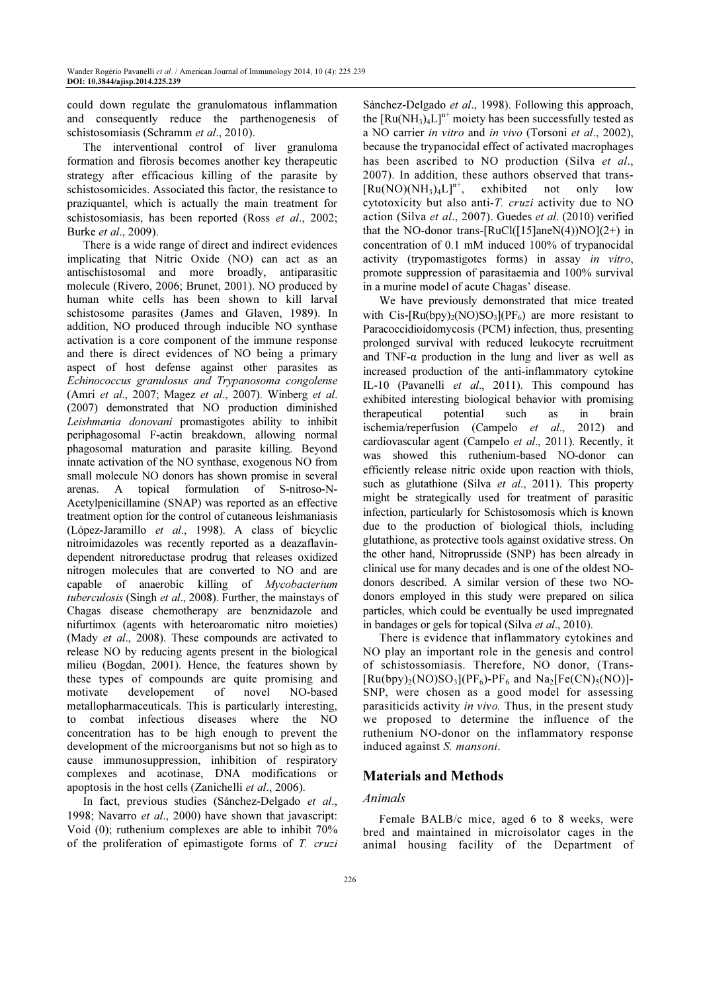could down regulate the granulomatous inflammation and consequently reduce the parthenogenesis of schistosomiasis (Schramm et al., 2010).

The interventional control of liver granuloma formation and fibrosis becomes another key therapeutic strategy after efficacious killing of the parasite by schistosomicides. Associated this factor, the resistance to praziquantel, which is actually the main treatment for schistosomiasis, has been reported (Ross et al., 2002; Burke et al., 2009).

There is a wide range of direct and indirect evidences implicating that Nitric Oxide (NO) can act as an antischistosomal and more broadly, antiparasitic molecule (Rivero, 2006; Brunet, 2001). NO produced by human white cells has been shown to kill larval schistosome parasites (James and Glaven, 1989). In addition, NO produced through inducible NO synthase activation is a core component of the immune response and there is direct evidences of NO being a primary aspect of host defense against other parasites as Echinococcus granulosus and Trypanosoma congolense (Amri et al., 2007; Magez et al., 2007). Winberg et al. (2007) demonstrated that NO production diminished Leishmania donovani promastigotes ability to inhibit periphagosomal F-actin breakdown, allowing normal phagosomal maturation and parasite killing. Beyond innate activation of the NO synthase, exogenous NO from small molecule NO donors has shown promise in several arenas. A topical formulation of S-nitroso-N-Acetylpenicillamine (SNAP) was reported as an effective treatment option for the control of cutaneous leishmaniasis (López-Jaramillo et al., 1998). A class of bicyclic nitroimidazoles was recently reported as a deazaflavindependent nitroreductase prodrug that releases oxidized nitrogen molecules that are converted to NO and are capable of anaerobic killing of Mycobacterium tuberculosis (Singh et al., 2008). Further, the mainstays of Chagas disease chemotherapy are benznidazole and nifurtimox (agents with heteroaromatic nitro moieties) (Mady *et al.*, 2008). These compounds are activated to release NO by reducing agents present in the biological milieu (Bogdan, 2001). Hence, the features shown by these types of compounds are quite promising and motivate developement of novel NO-based metallopharmaceuticals. This is particularly interesting, to combat infectious diseases where the NO concentration has to be high enough to prevent the development of the microorganisms but not so high as to cause immunosuppression, inhibition of respiratory complexes and acotinase, DNA modifications or apoptosis in the host cells (Zanichelli et al., 2006).

In fact, previous studies (Sánchez-Delgado et al., 1998; Navarro et al., 2000) have shown that javascript: Void (0); ruthenium complexes are able to inhibit 70% of the proliferation of epimastigote forms of T. cruzi

Sánchez-Delgado et al., 1998). Following this approach, the  $[Ru(NH_3)_4L]^{n+}$  moiety has been successfully tested as a NO carrier in vitro and in vivo (Torsoni et al., 2002), because the trypanocidal effect of activated macrophages has been ascribed to NO production (Silva et al., 2007). In addition, these authors observed that trans-  $[Ru(NO)(NH<sub>3</sub>)<sub>4</sub>L]<sup>n+</sup>$ , exhibited not only low cytotoxicity but also anti-T. cruzi activity due to NO action (Silva et al., 2007). Guedes et al. (2010) verified that the NO-donor trans- $[RuCl([15]aneN(4))NO](2+)$  in concentration of 0.1 mM induced 100% of trypanocidal activity (trypomastigotes forms) in assay in vitro, promote suppression of parasitaemia and 100% survival in a murine model of acute Chagas' disease.

We have previously demonstrated that mice treated with Cis- $[Ru(bpy)<sub>2</sub>(NO)SO<sub>3</sub>](PF<sub>6</sub>)$  are more resistant to Paracoccidioidomycosis (PCM) infection, thus, presenting prolonged survival with reduced leukocyte recruitment and TNF- $\alpha$  production in the lung and liver as well as increased production of the anti-inflammatory cytokine IL-10 (Pavanelli et al., 2011). This compound has exhibited interesting biological behavior with promising therapeutical potential such as in brain ischemia/reperfusion (Campelo et al., 2012) and cardiovascular agent (Campelo et al., 2011). Recently, it was showed this ruthenium-based NO-donor can efficiently release nitric oxide upon reaction with thiols, such as glutathione (Silva et al., 2011). This property might be strategically used for treatment of parasitic infection, particularly for Schistosomosis which is known due to the production of biological thiols, including glutathione, as protective tools against oxidative stress. On the other hand, Nitroprusside (SNP) has been already in clinical use for many decades and is one of the oldest NOdonors described. A similar version of these two NOdonors employed in this study were prepared on silica particles, which could be eventually be used impregnated in bandages or gels for topical (Silva et al., 2010).

There is evidence that inflammatory cytokines and NO play an important role in the genesis and control of schistossomiasis. Therefore, NO donor, (Trans-  $[Ru(bpy)<sub>2</sub>(NO)SO<sub>3</sub>](PF<sub>6</sub>)-PF<sub>6</sub>$  and  $Na<sub>2</sub>[Fe(CN)<sub>5</sub>(NO)]-$ SNP, were chosen as a good model for assessing parasiticids activity in vivo. Thus, in the present study we proposed to determine the influence of the ruthenium NO-donor on the inflammatory response induced against S. mansoni.

# Materials and Methods

## Animals

Female BALB/c mice, aged 6 to 8 weeks, were bred and maintained in microisolator cages in the animal housing facility of the Department of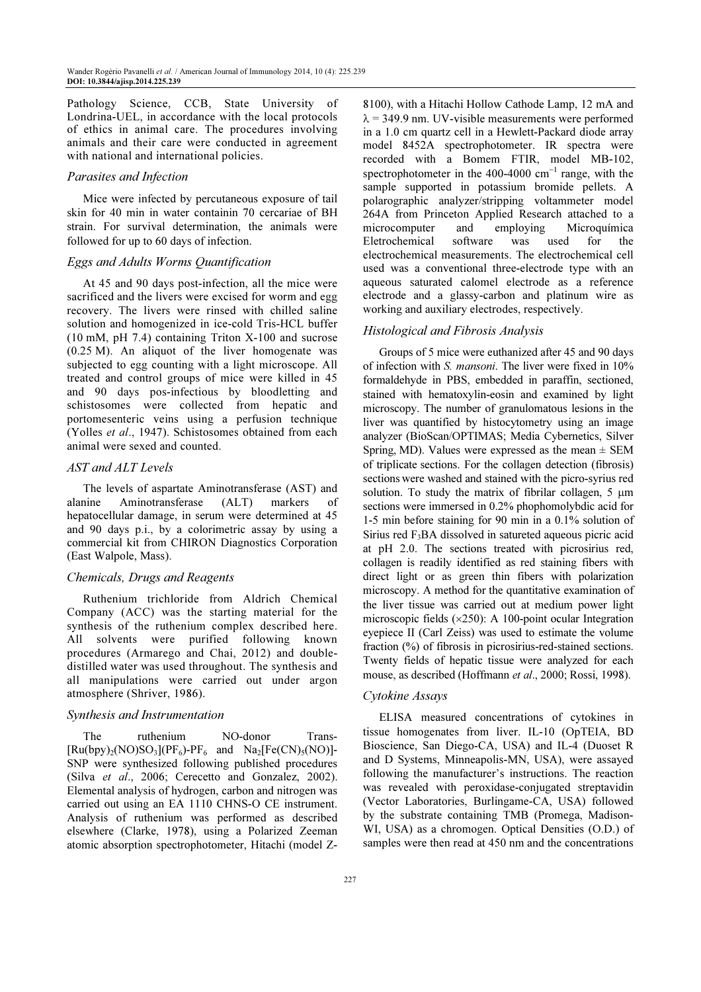Pathology Science, CCB, State University of Londrina-UEL, in accordance with the local protocols of ethics in animal care. The procedures involving animals and their care were conducted in agreement with national and international policies.

#### Parasites and Infection

Mice were infected by percutaneous exposure of tail skin for 40 min in water containin 70 cercariae of BH strain. For survival determination, the animals were followed for up to 60 days of infection.

#### Eggs and Adults Worms Quantification

At 45 and 90 days post-infection, all the mice were sacrificed and the livers were excised for worm and egg recovery. The livers were rinsed with chilled saline solution and homogenized in ice-cold Tris-HCL buffer (10 mM, pH 7.4) containing Triton X-100 and sucrose (0.25 M). An aliquot of the liver homogenate was subjected to egg counting with a light microscope. All treated and control groups of mice were killed in 45 and 90 days pos-infectious by bloodletting and schistosomes were collected from hepatic and portomesenteric veins using a perfusion technique (Yolles et al., 1947). Schistosomes obtained from each animal were sexed and counted.

#### AST and ALT Levels

The levels of aspartate Aminotransferase (AST) and alanine Aminotransferase (ALT) markers of hepatocellular damage, in serum were determined at 45 and 90 days p.i., by a colorimetric assay by using a commercial kit from CHIRON Diagnostics Corporation (East Walpole, Mass).

### Chemicals, Drugs and Reagents

Ruthenium trichloride from Aldrich Chemical Company (ACC) was the starting material for the synthesis of the ruthenium complex described here. All solvents were purified following known procedures (Armarego and Chai, 2012) and doubledistilled water was used throughout. The synthesis and all manipulations were carried out under argon atmosphere (Shriver, 1986).

### Synthesis and Instrumentation

The ruthenium NO-donor Trans- $[Ru(bpy)<sub>2</sub>(NO)SO<sub>3</sub>](PF<sub>6</sub>)-PF<sub>6</sub>$  and  $Na<sub>2</sub>[Fe(CN)<sub>5</sub>(NO)]-$ SNP were synthesized following published procedures (Silva et al., 2006; Cerecetto and Gonzalez, 2002). Elemental analysis of hydrogen, carbon and nitrogen was carried out using an EA 1110 CHNS-O CE instrument. Analysis of ruthenium was performed as described elsewhere (Clarke, 1978), using a Polarized Zeeman atomic absorption spectrophotometer, Hitachi (model Z- 8100), with a Hitachi Hollow Cathode Lamp, 12 mA and  $\lambda$  = 349.9 nm. UV-visible measurements were performed in a 1.0 cm quartz cell in a Hewlett-Packard diode array model 8452A spectrophotometer. IR spectra were recorded with a Bomem FTIR, model MB-102, spectrophotometer in the 400-4000 cm<sup>-1</sup> range, with the sample supported in potassium bromide pellets. A polarographic analyzer/stripping voltammeter model 264A from Princeton Applied Research attached to a microcomputer and employing Microquímica Eletrochemical software was used for the electrochemical measurements. The electrochemical cell used was a conventional three-electrode type with an aqueous saturated calomel electrode as a reference electrode and a glassy-carbon and platinum wire as working and auxiliary electrodes, respectively.

#### Histological and Fibrosis Analysis

Groups of 5 mice were euthanized after 45 and 90 days of infection with S. mansoni. The liver were fixed in 10% formaldehyde in PBS, embedded in paraffin, sectioned, stained with hematoxylin-eosin and examined by light microscopy. The number of granulomatous lesions in the liver was quantified by histocytometry using an image analyzer (BioScan/OPTIMAS; Media Cybernetics, Silver Spring, MD). Values were expressed as the mean  $\pm$  SEM of triplicate sections. For the collagen detection (fibrosis) sections were washed and stained with the picro-syrius red solution. To study the matrix of fibrilar collagen, 5  $\mu$ m sections were immersed in 0.2% phophomolybdic acid for 1-5 min before staining for 90 min in a 0.1% solution of Sirius red F3BA dissolved in satureted aqueous picric acid at pH 2.0. The sections treated with picrosirius red, collagen is readily identified as red staining fibers with direct light or as green thin fibers with polarization microscopy. A method for the quantitative examination of the liver tissue was carried out at medium power light microscopic fields (×250): A 100-point ocular Integration eyepiece II (Carl Zeiss) was used to estimate the volume fraction (%) of fibrosis in picrosirius-red-stained sections. Twenty fields of hepatic tissue were analyzed for each mouse, as described (Hoffmann et al., 2000; Rossi, 1998).

#### Cytokine Assays

ELISA measured concentrations of cytokines in tissue homogenates from liver. IL-10 (OpTEIA, BD Bioscience, San Diego-CA, USA) and IL-4 (Duoset R and D Systems, Minneapolis-MN, USA), were assayed following the manufacturer's instructions. The reaction was revealed with peroxidase-conjugated streptavidin (Vector Laboratories, Burlingame-CA, USA) followed by the substrate containing TMB (Promega, Madison-WI, USA) as a chromogen. Optical Densities (O.D.) of samples were then read at 450 nm and the concentrations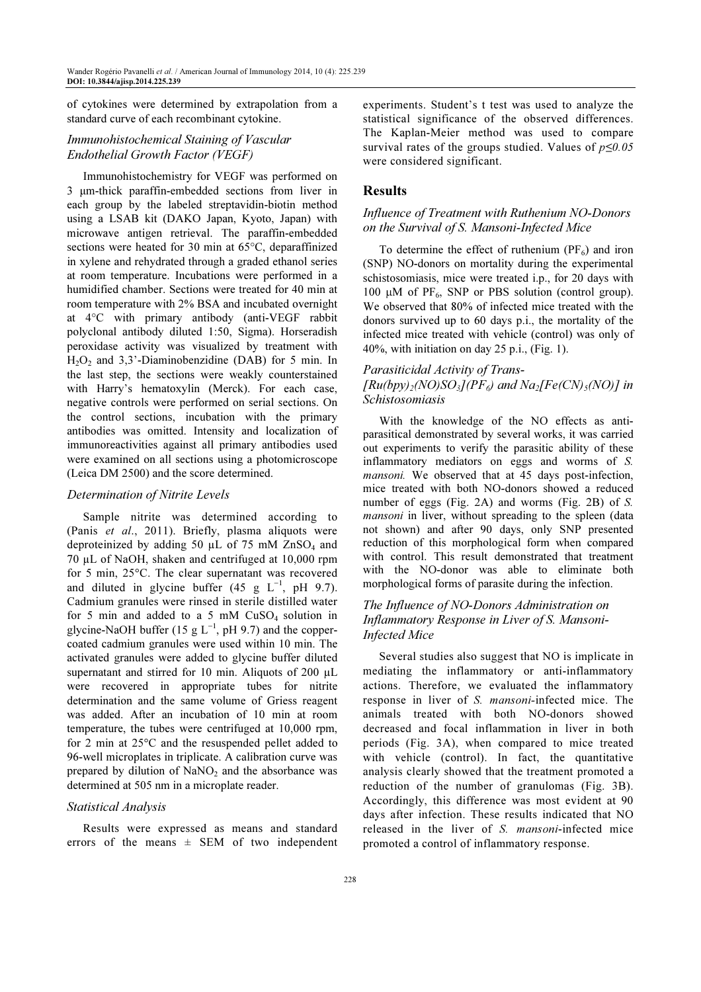of cytokines were determined by extrapolation from a standard curve of each recombinant cytokine.

# Immunohistochemical Staining of Vascular Endothelial Growth Factor (VEGF)

Immunohistochemistry for VEGF was performed on 3 µm-thick paraffin-embedded sections from liver in each group by the labeled streptavidin-biotin method using a LSAB kit (DAKO Japan, Kyoto, Japan) with microwave antigen retrieval. The paraffin-embedded sections were heated for 30 min at 65°C, deparaffinized in xylene and rehydrated through a graded ethanol series at room temperature. Incubations were performed in a humidified chamber. Sections were treated for 40 min at room temperature with 2% BSA and incubated overnight at 4°C with primary antibody (anti-VEGF rabbit polyclonal antibody diluted 1:50, Sigma). Horseradish peroxidase activity was visualized by treatment with  $H_2O_2$  and 3,3'-Diaminobenzidine (DAB) for 5 min. In the last step, the sections were weakly counterstained with Harry's hematoxylin (Merck). For each case, negative controls were performed on serial sections. On the control sections, incubation with the primary antibodies was omitted. Intensity and localization of immunoreactivities against all primary antibodies used were examined on all sections using a photomicroscope (Leica DM 2500) and the score determined.

### Determination of Nitrite Levels

Sample nitrite was determined according to (Panis et al., 2011). Briefly, plasma aliquots were deproteinized by adding 50  $\mu$ L of 75 mM ZnSO<sub>4</sub> and 70 µL of NaOH, shaken and centrifuged at 10,000 rpm for 5 min, 25°C. The clear supernatant was recovered and diluted in glycine buffer (45 g  $L^{-1}$ , pH 9.7). Cadmium granules were rinsed in sterile distilled water for 5 min and added to a 5 mM  $CuSO<sub>4</sub>$  solution in glycine-NaOH buffer (15 g  $L^{-1}$ , pH 9.7) and the coppercoated cadmium granules were used within 10 min. The activated granules were added to glycine buffer diluted supernatant and stirred for 10 min. Aliquots of 200 µL were recovered in appropriate tubes for nitrite determination and the same volume of Griess reagent was added. After an incubation of 10 min at room temperature, the tubes were centrifuged at 10,000 rpm, for 2 min at 25°C and the resuspended pellet added to 96-well microplates in triplicate. A calibration curve was prepared by dilution of  $NaNO<sub>2</sub>$  and the absorbance was determined at 505 nm in a microplate reader.

## Statistical Analysis

Results were expressed as means and standard errors of the means  $\pm$  SEM of two independent experiments. Student's t test was used to analyze the statistical significance of the observed differences. The Kaplan-Meier method was used to compare survival rates of the groups studied. Values of  $p \le 0.05$ were considered significant.

## Results

## Influence of Treatment with Ruthenium NO-Donors on the Survival of S. Mansoni-Infected Mice

To determine the effect of ruthenium  $(PF_6)$  and iron (SNP) NO-donors on mortality during the experimental schistosomiasis, mice were treated i.p., for 20 days with 100  $\mu$ M of PF<sub>6</sub>, SNP or PBS solution (control group). We observed that 80% of infected mice treated with the donors survived up to 60 days p.i., the mortality of the infected mice treated with vehicle (control) was only of 40%, with initiation on day 25 p.i., (Fig. 1).

# Parasiticidal Activity of Trans-  $[Ru(bpy)<sub>2</sub>(NO)SO<sub>3</sub>]/PF<sub>6</sub>$  and  $Na<sub>2</sub>[Fe(CN)<sub>5</sub>(NO)]$  in Schistosomiasis

With the knowledge of the NO effects as antiparasitical demonstrated by several works, it was carried out experiments to verify the parasitic ability of these inflammatory mediators on eggs and worms of S. mansoni. We observed that at 45 days post-infection, mice treated with both NO-donors showed a reduced number of eggs (Fig. 2A) and worms (Fig. 2B) of S. mansoni in liver, without spreading to the spleen (data not shown) and after 90 days, only SNP presented reduction of this morphological form when compared with control. This result demonstrated that treatment with the NO-donor was able to eliminate both morphological forms of parasite during the infection.

# The Influence of NO-Donors Administration on Inflammatory Response in Liver of S. Mansoni-Infected Mice

Several studies also suggest that NO is implicate in mediating the inflammatory or anti-inflammatory actions. Therefore, we evaluated the inflammatory response in liver of S. mansoni-infected mice. The animals treated with both NO-donors showed decreased and focal inflammation in liver in both periods (Fig. 3A), when compared to mice treated with vehicle (control). In fact, the quantitative analysis clearly showed that the treatment promoted a reduction of the number of granulomas (Fig. 3B). Accordingly, this difference was most evident at 90 days after infection. These results indicated that NO released in the liver of S. mansoni-infected mice promoted a control of inflammatory response.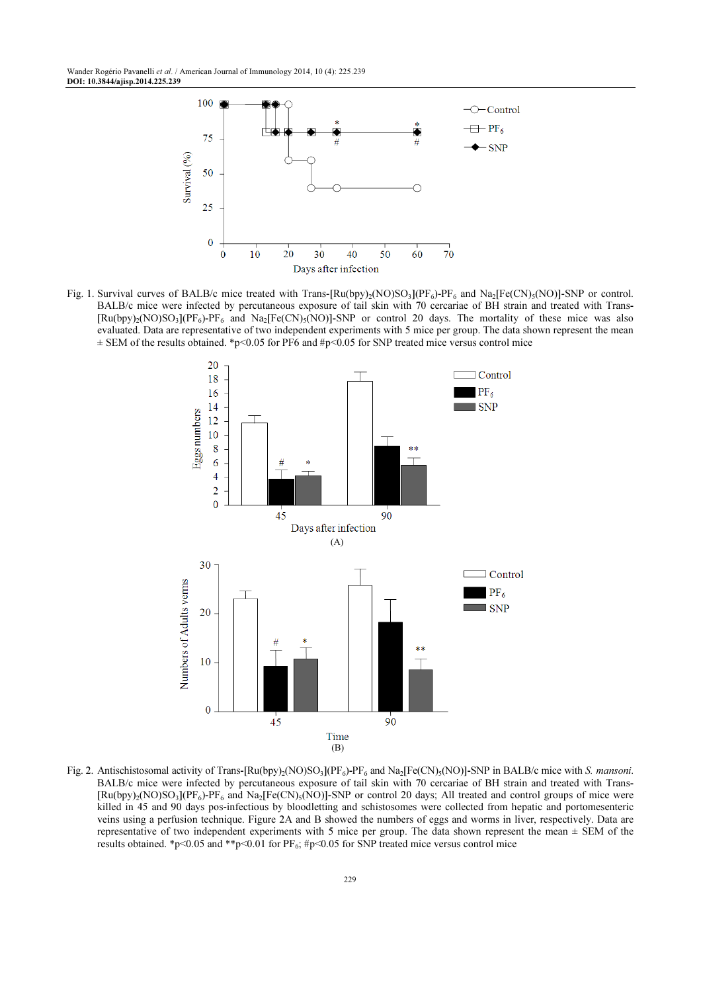

Fig. 1. Survival curves of BALB/c mice treated with Trans- $[Ru(bpy)_2(NO)SO_3](PF_6)$ -PF<sub>6</sub> and Na<sub>2</sub> $[Fe(CN)_5(NO)]$ -SNP or control. BALB/c mice were infected by percutaneous exposure of tail skin with 70 cercariae of BH strain and treated with Trans-  $[Ru(bpy)_2(NO)SO_3](PF_6)$ -PF<sub>6</sub> and Na<sub>2</sub>[Fe(CN)<sub>5</sub>(NO)]-SNP or control 20 days. The mortality of these mice was also evaluated. Data are representative of two independent experiments with 5 mice per group. The data shown represent the mean  $\pm$  SEM of the results obtained. \*p<0.05 for PF6 and #p<0.05 for SNP treated mice versus control mice



Fig. 2. Antischistosomal activity of Trans- $[Ru(bpy)_2(NO)SO_3](PF_6)$ -PF<sub>6</sub> and Na<sub>2</sub>[Fe(CN)<sub>5</sub>(NO)]-SNP in BALB/c mice with S. *mansoni*. BALB/c mice were infected by percutaneous exposure of tail skin with 70 cercariae of BH strain and treated with Trans- $[Ru(bpy)_2(NO)SO_3](PF_6)$ -PF<sub>6</sub> and Na<sub>2</sub>[Fe(CN)<sub>5</sub>(NO)]-SNP or control 20 days; All treated and control groups of mice were killed in 45 and 90 days pos-infectious by bloodletting and schistosomes were collected from hepatic and portomesenteric veins using a perfusion technique. Figure 2A and B showed the numbers of eggs and worms in liver, respectively. Data are representative of two independent experiments with 5 mice per group. The data shown represent the mean  $\pm$  SEM of the results obtained. \*p<0.05 and \*\*p<0.01 for  $PF_6$ ; #p<0.05 for SNP treated mice versus control mice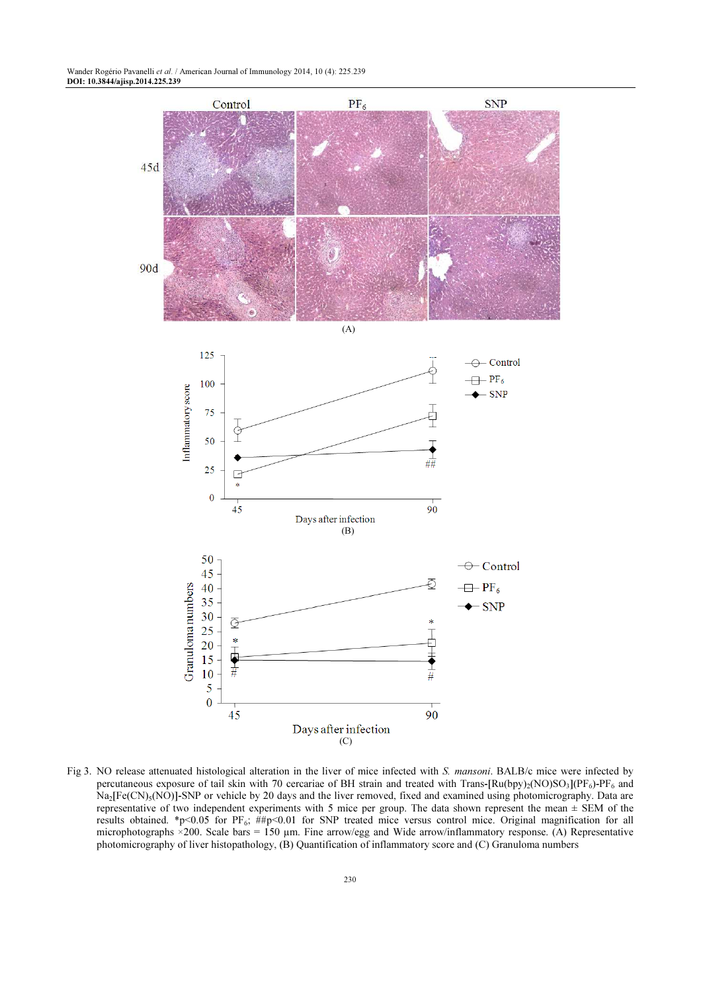

Fig 3. NO release attenuated histological alteration in the liver of mice infected with S. mansoni. BALB/c mice were infected by percutaneous exposure of tail skin with 70 cercariae of BH strain and treated with Trans- $\text{[Ru(bpy)}_2(\text{NO})\text{SO}_3\text{]}(\text{PF}_6)\text{-PF}_6$  and Na<sub>2</sub>[Fe(CN)<sub>5</sub>(NO)]-SNP or vehicle by 20 days and the liver removed, fixed and examined using photomicrography. Data are representative of two independent experiments with 5 mice per group. The data shown represent the mean ± SEM of the results obtained. \*p<0.05 for PF<sub>6</sub>; ##p<0.01 for SNP treated mice versus control mice. Original magnification for all microphotographs  $\times$ 200. Scale bars = 150 µm. Fine arrow/egg and Wide arrow/inflammatory response. (A) Representative photomicrography of liver histopathology, (B) Quantification of inflammatory score and (C) Granuloma numbers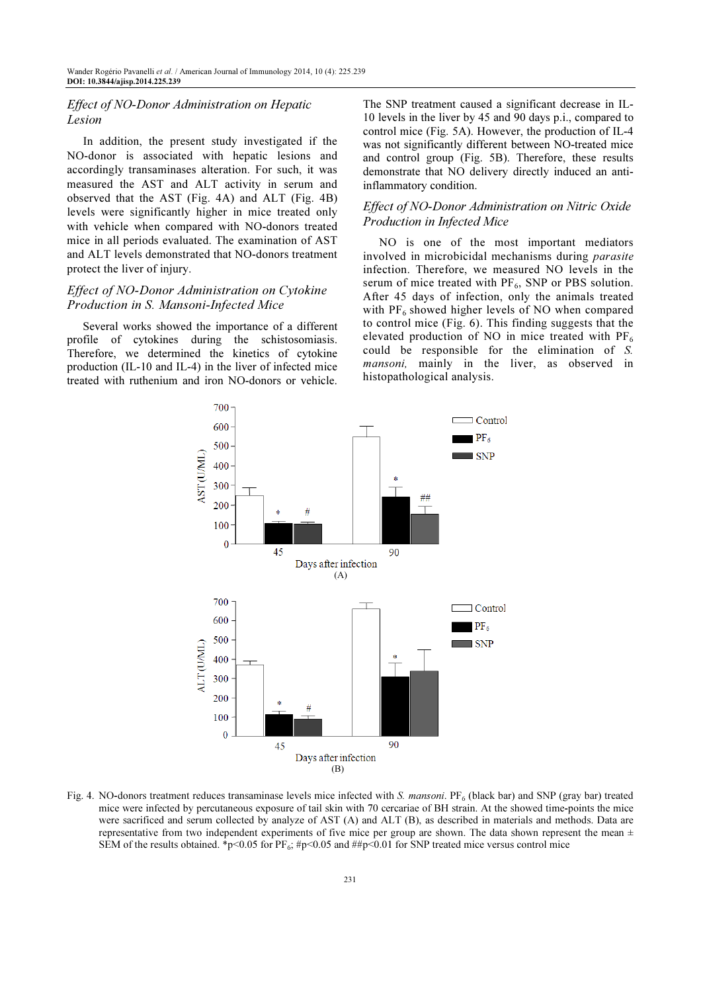## Effect of NO-Donor Administration on Hepatic Lesion

In addition, the present study investigated if the NO-donor is associated with hepatic lesions and accordingly transaminases alteration. For such, it was measured the AST and ALT activity in serum and observed that the AST (Fig. 4A) and ALT (Fig. 4B) levels were significantly higher in mice treated only with vehicle when compared with NO-donors treated mice in all periods evaluated. The examination of AST and ALT levels demonstrated that NO-donors treatment protect the liver of injury.

## Effect of NO-Donor Administration on Cytokine Production in S. Mansoni-Infected Mice

Several works showed the importance of a different profile of cytokines during the schistosomiasis. Therefore, we determined the kinetics of cytokine production (IL-10 and IL-4) in the liver of infected mice treated with ruthenium and iron NO-donors or vehicle.

The SNP treatment caused a significant decrease in IL-10 levels in the liver by 45 and 90 days p.i., compared to control mice (Fig. 5A). However, the production of IL-4 was not significantly different between NO-treated mice and control group (Fig. 5B). Therefore, these results demonstrate that NO delivery directly induced an antiinflammatory condition.

## Effect of NO-Donor Administration on Nitric Oxide Production in Infected Mice

NO is one of the most important mediators involved in microbicidal mechanisms during parasite infection. Therefore, we measured NO levels in the serum of mice treated with  $PF_6$ , SNP or PBS solution. After 45 days of infection, only the animals treated with  $PF_6$  showed higher levels of NO when compared to control mice (Fig. 6). This finding suggests that the elevated production of NO in mice treated with  $PF_6$ could be responsible for the elimination of S. mansoni, mainly in the liver, as observed in histopathological analysis.



Fig. 4. NO-donors treatment reduces transaminase levels mice infected with  $S$ . mansoni.  $PF_6$  (black bar) and SNP (gray bar) treated mice were infected by percutaneous exposure of tail skin with 70 cercariae of BH strain. At the showed time-points the mice were sacrificed and serum collected by analyze of AST (A) and ALT (B), as described in materials and methods. Data are representative from two independent experiments of five mice per group are shown. The data shown represent the mean  $\pm$ SEM of the results obtained. \*p<0.05 for PF<sub>6</sub>; #p<0.05 and ##p<0.01 for SNP treated mice versus control mice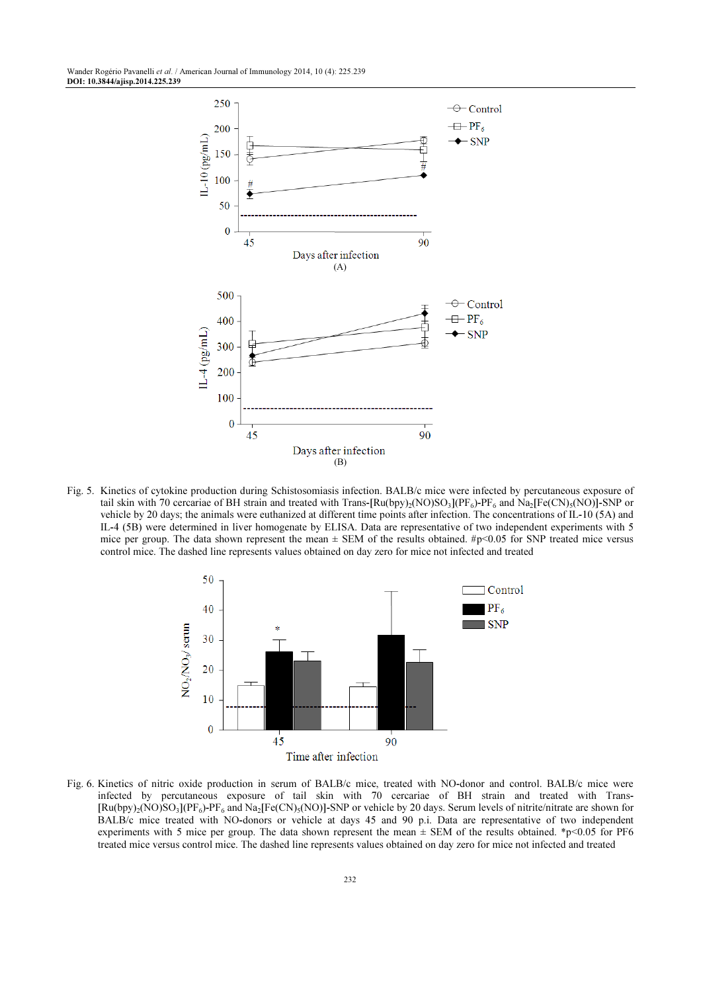

Fig. 5. Kinetics of cytokine production during Schistosomiasis infection. BALB/c mice were infected by percutaneous exposure of tail skin with 70 cercariae of BH strain and treated with Trans- $\text{Ru(bpy)}_2(\text{NO})\text{SO}_3\text{] (PF}_6$ )-PF<sub>6</sub> and Na<sub>2</sub> $\text{[Fe(CN)}_3(\text{NO})\text{]}$ -SNP or vehicle by 20 days; the animals were euthanized at different time points after infection. The concentrations of IL-10 (5A) and IL-4 (5B) were determined in liver homogenate by ELISA. Data are representative of two independent experiments with 5 mice per group. The data shown represent the mean  $\pm$  SEM of the results obtained. #p<0.05 for SNP treated mice versus control mice. The dashed line represents values obtained on day zero for mice not infected and treated



Fig. 6. Kinetics of nitric oxide production in serum of BALB/c mice, treated with NO-donor and control. BALB/c mice were infected by percutaneous exposure of tail skin with 70 cercariae of BH strain and treated with Trans-  $[Ru(bpy)_2(NO)SO_3](PF_6)$ -PF<sub>6</sub> and Na<sub>2</sub>[Fe(CN)<sub>5</sub>(NO)]-SNP or vehicle by 20 days. Serum levels of nitrite/nitrate are shown for BALB/c mice treated with NO-donors or vehicle at days 45 and 90 p.i. Data are representative of two independent experiments with 5 mice per group. The data shown represent the mean  $\pm$  SEM of the results obtained. \*p<0.05 for PF6 treated mice versus control mice. The dashed line represents values obtained on day zero for mice not infected and treated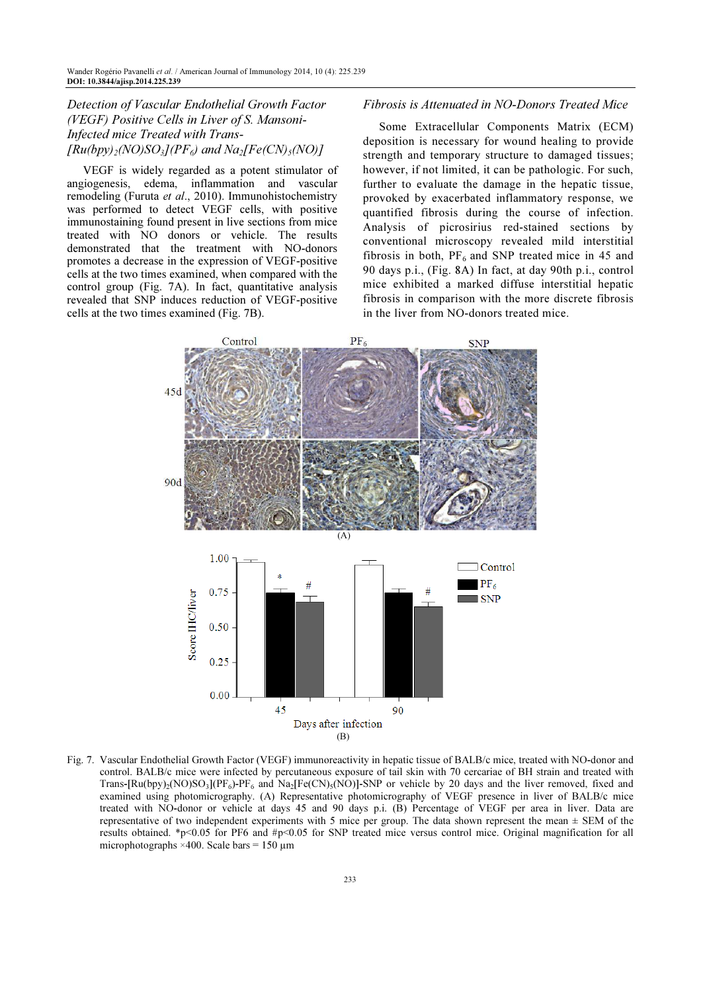Detection of Vascular Endothelial Growth Factor (VEGF) Positive Cells in Liver of S. Mansoni-Infected mice Treated with Trans-  $[Ru(bpy)_2(NO)SO_3](PF_6)$  and  $Na_2[Fe(CN)_5(NO)]$ 

VEGF is widely regarded as a potent stimulator of angiogenesis, edema, inflammation and vascular remodeling (Furuta et al., 2010). Immunohistochemistry was performed to detect VEGF cells, with positive immunostaining found present in live sections from mice treated with NO donors or vehicle. The results demonstrated that the treatment with NO-donors promotes a decrease in the expression of VEGF-positive cells at the two times examined, when compared with the control group (Fig. 7A). In fact, quantitative analysis revealed that SNP induces reduction of VEGF-positive cells at the two times examined (Fig. 7B).

### Fibrosis is Attenuated in NO-Donors Treated Mice

Some Extracellular Components Matrix (ECM) deposition is necessary for wound healing to provide strength and temporary structure to damaged tissues; however, if not limited, it can be pathologic. For such, further to evaluate the damage in the hepatic tissue, provoked by exacerbated inflammatory response, we quantified fibrosis during the course of infection. Analysis of picrosirius red-stained sections by conventional microscopy revealed mild interstitial fibrosis in both,  $PF_6$  and SNP treated mice in 45 and 90 days p.i., (Fig. 8A) In fact, at day 90th p.i., control mice exhibited a marked diffuse interstitial hepatic fibrosis in comparison with the more discrete fibrosis in the liver from NO-donors treated mice.



Fig. 7. Vascular Endothelial Growth Factor (VEGF) immunoreactivity in hepatic tissue of BALB/c mice, treated with NO-donor and control. BALB/c mice were infected by percutaneous exposure of tail skin with 70 cercariae of BH strain and treated with Trans-[Ru(bpy)<sub>2</sub>(NO)SO<sub>3</sub>](PF<sub>6</sub>)-PF<sub>6</sub> and Na<sub>2</sub>[Fe(CN)<sub>5</sub>(NO)]-SNP or vehicle by 20 days and the liver removed, fixed and examined using photomicrography. (A) Representative photomicrography of VEGF presence in liver of BALB/c mice treated with NO-donor or vehicle at days 45 and 90 days p.i. (B) Percentage of VEGF per area in liver. Data are representative of two independent experiments with 5 mice per group. The data shown represent the mean  $\pm$  SEM of the results obtained. \*p<0.05 for PF6 and #p<0.05 for SNP treated mice versus control mice. Original magnification for all microphotographs  $\times$ 400. Scale bars = 150 µm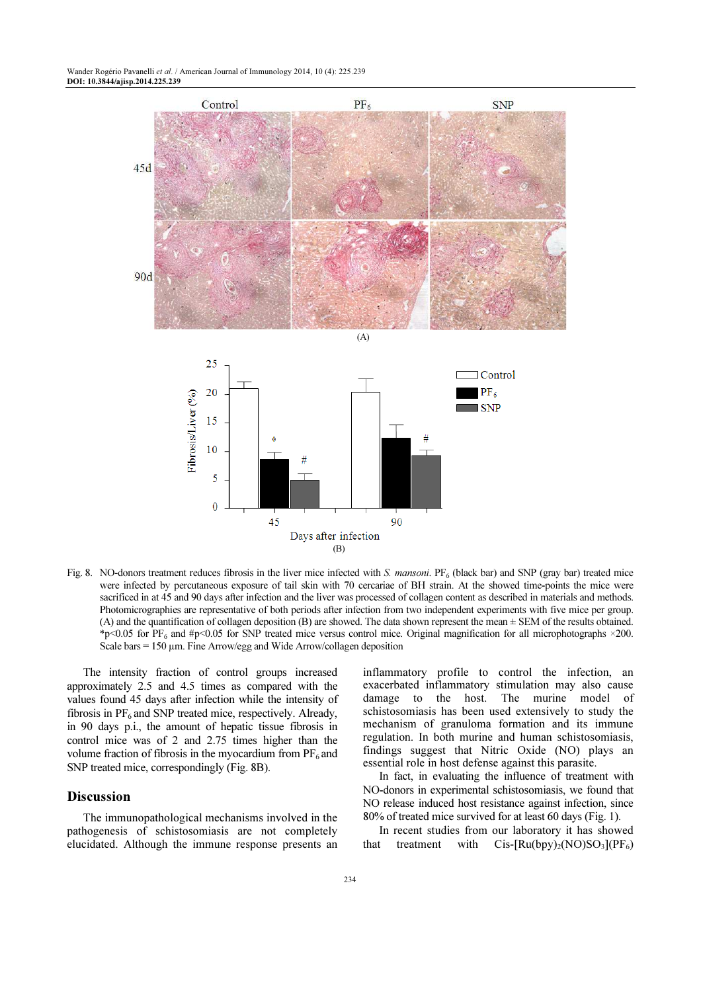

Fig. 8. NO-donors treatment reduces fibrosis in the liver mice infected with S. mansoni.  $PF_6$  (black bar) and SNP (gray bar) treated mice were infected by percutaneous exposure of tail skin with 70 cercariae of BH strain. At the showed time-points the mice were sacrificed in at 45 and 90 days after infection and the liver was processed of collagen content as described in materials and methods. Photomicrographies are representative of both periods after infection from two independent experiments with five mice per group. (A) and the quantification of collagen deposition (B) are showed. The data shown represent the mean ± SEM of the results obtained.  $\text{*}p<0.05$  for PF<sub>6</sub> and #p<0.05 for SNP treated mice versus control mice. Original magnification for all microphotographs ×200. Scale bars  $= 150 \mu m$ . Fine Arrow/egg and Wide Arrow/collagen deposition

The intensity fraction of control groups increased approximately 2.5 and 4.5 times as compared with the values found 45 days after infection while the intensity of fibrosis in  $PF_6$  and SNP treated mice, respectively. Already, in 90 days p.i., the amount of hepatic tissue fibrosis in control mice was of 2 and 2.75 times higher than the volume fraction of fibrosis in the myocardium from  $PF_6$  and SNP treated mice, correspondingly (Fig. 8B).

## **Discussion**

The immunopathological mechanisms involved in the pathogenesis of schistosomiasis are not completely elucidated. Although the immune response presents an inflammatory profile to control the infection, an exacerbated inflammatory stimulation may also cause damage to the host. The murine model of schistosomiasis has been used extensively to study the mechanism of granuloma formation and its immune regulation. In both murine and human schistosomiasis, findings suggest that Nitric Oxide (NO) plays an essential role in host defense against this parasite.

In fact, in evaluating the influence of treatment with NO-donors in experimental schistosomiasis, we found that NO release induced host resistance against infection, since 80% of treated mice survived for at least 60 days (Fig. 1).

In recent studies from our laboratory it has showed that treatment with  $Cis-[\text{Ru(bpy)}_2(\text{NO})\text{SO}_3](PF_6)$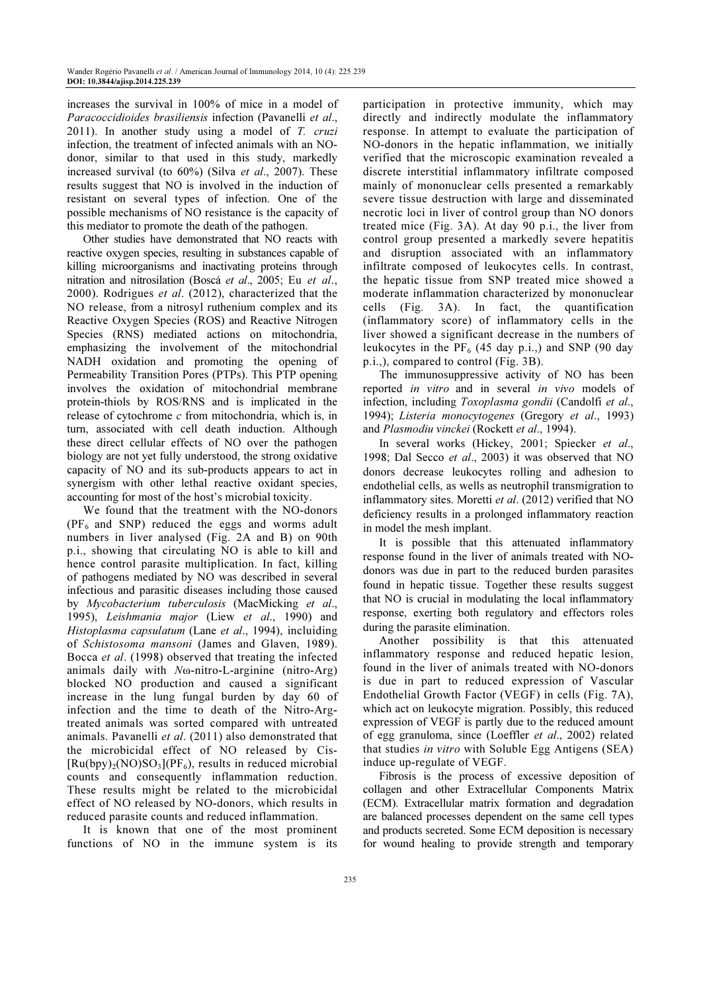increases the survival in 100% of mice in a model of Paracoccidioides brasiliensis infection (Pavanelli et al., 2011). In another study using a model of T. cruzi infection, the treatment of infected animals with an NOdonor, similar to that used in this study, markedly increased survival (to 60%) (Silva et al., 2007). These results suggest that NO is involved in the induction of resistant on several types of infection. One of the possible mechanisms of NO resistance is the capacity of this mediator to promote the death of the pathogen.

Other studies have demonstrated that NO reacts with reactive oxygen species, resulting in substances capable of killing microorganisms and inactivating proteins through nitration and nitrosilation (Boscá et al., 2005; Eu et al., 2000). Rodrigues et al. (2012), characterized that the NO release, from a nitrosyl ruthenium complex and its Reactive Oxygen Species (ROS) and Reactive Nitrogen Species (RNS) mediated actions on mitochondria, emphasizing the involvement of the mitochondrial NADH oxidation and promoting the opening of Permeability Transition Pores (PTPs). This PTP opening involves the oxidation of mitochondrial membrane protein-thiols by ROS/RNS and is implicated in the release of cytochrome  $c$  from mitochondria, which is, in turn, associated with cell death induction. Although these direct cellular effects of NO over the pathogen biology are not yet fully understood, the strong oxidative capacity of NO and its sub-products appears to act in synergism with other lethal reactive oxidant species, accounting for most of the host's microbial toxicity.

We found that the treatment with the NO-donors  $(PF<sub>6</sub>$  and SNP) reduced the eggs and worms adult numbers in liver analysed (Fig. 2A and B) on 90th p.i., showing that circulating NO is able to kill and hence control parasite multiplication. In fact, killing of pathogens mediated by NO was described in several infectious and parasitic diseases including those caused by Mycobacterium tuberculosis (MacMicking et al., 1995), Leishmania major (Liew et al., 1990) and Histoplasma capsulatum (Lane et al., 1994), incluiding of Schistosoma mansoni (James and Glaven, 1989). Bocca et al. (1998) observed that treating the infected animals daily with Nω-nitro-L-arginine (nitro-Arg) blocked NO production and caused a significant increase in the lung fungal burden by day 60 of infection and the time to death of the Nitro-Argtreated animals was sorted compared with untreated animals. Pavanelli et al. (2011) also demonstrated that the microbicidal effect of NO released by Cis-  $[Ru(bpy)<sub>2</sub>(NO)SO<sub>3</sub>](PF<sub>6</sub>)$ , results in reduced microbial counts and consequently inflammation reduction. These results might be related to the microbicidal effect of NO released by NO-donors, which results in reduced parasite counts and reduced inflammation.

It is known that one of the most prominent functions of NO in the immune system is its participation in protective immunity, which may directly and indirectly modulate the inflammatory response. In attempt to evaluate the participation of NO-donors in the hepatic inflammation, we initially verified that the microscopic examination revealed a discrete interstitial inflammatory infiltrate composed mainly of mononuclear cells presented a remarkably severe tissue destruction with large and disseminated necrotic loci in liver of control group than NO donors treated mice (Fig. 3A). At day 90 p.i., the liver from control group presented a markedly severe hepatitis and disruption associated with an inflammatory infiltrate composed of leukocytes cells. In contrast, the hepatic tissue from SNP treated mice showed a moderate inflammation characterized by mononuclear cells (Fig. 3A). In fact, the quantification (inflammatory score) of inflammatory cells in the liver showed a significant decrease in the numbers of leukocytes in the  $PF_6$  (45 day p.i.,) and SNP (90 day p.i.,), compared to control (Fig. 3B).

The immunosuppressive activity of NO has been reported in vitro and in several in vivo models of infection, including Toxoplasma gondii (Candolfi et al., 1994); Listeria monocytogenes (Gregory et al., 1993) and Plasmodiu vinckei (Rockett et al., 1994).

In several works (Hickey, 2001; Spiecker et al., 1998; Dal Secco et al., 2003) it was observed that NO donors decrease leukocytes rolling and adhesion to endothelial cells, as wells as neutrophil transmigration to inflammatory sites. Moretti et al. (2012) verified that NO deficiency results in a prolonged inflammatory reaction in model the mesh implant.

It is possible that this attenuated inflammatory response found in the liver of animals treated with NOdonors was due in part to the reduced burden parasites found in hepatic tissue. Together these results suggest that NO is crucial in modulating the local inflammatory response, exerting both regulatory and effectors roles during the parasite elimination.

Another possibility is that this attenuated inflammatory response and reduced hepatic lesion, found in the liver of animals treated with NO-donors is due in part to reduced expression of Vascular Endothelial Growth Factor (VEGF) in cells (Fig. 7A), which act on leukocyte migration. Possibly, this reduced expression of VEGF is partly due to the reduced amount of egg granuloma, since (Loeffler et al., 2002) related that studies in vitro with Soluble Egg Antigens (SEA) induce up-regulate of VEGF.

Fibrosis is the process of excessive deposition of collagen and other Extracellular Components Matrix (ECM). Extracellular matrix formation and degradation are balanced processes dependent on the same cell types and products secreted. Some ECM deposition is necessary for wound healing to provide strength and temporary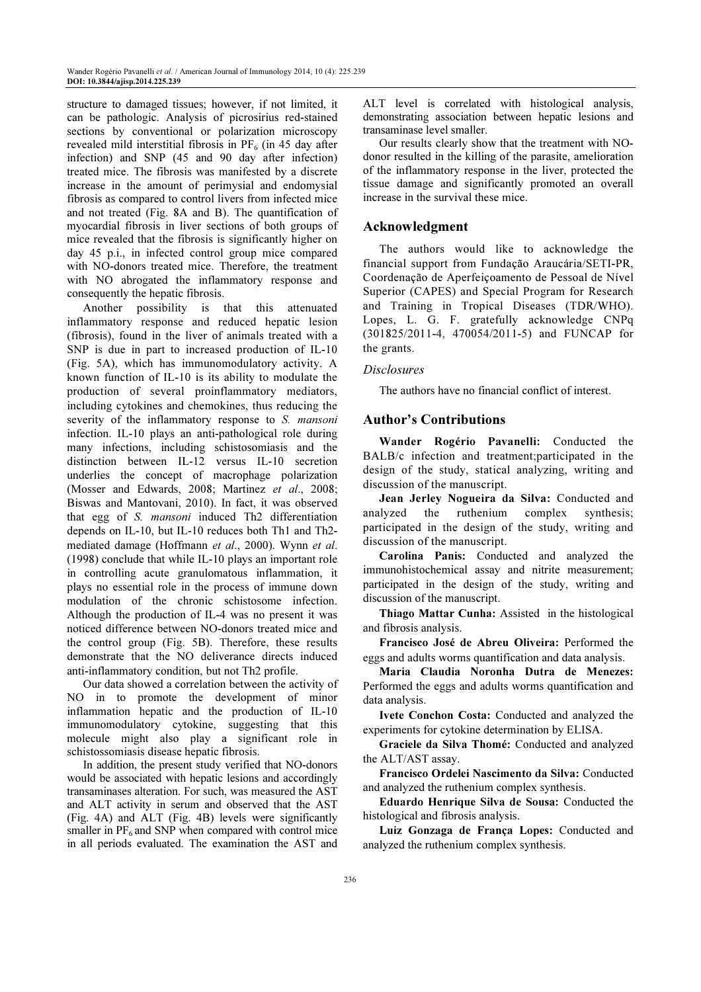structure to damaged tissues; however, if not limited, it can be pathologic. Analysis of picrosirius red-stained sections by conventional or polarization microscopy revealed mild interstitial fibrosis in  $PF_6$  (in 45 day after infection) and SNP (45 and 90 day after infection) treated mice. The fibrosis was manifested by a discrete increase in the amount of perimysial and endomysial fibrosis as compared to control livers from infected mice and not treated (Fig. 8A and B). The quantification of myocardial fibrosis in liver sections of both groups of mice revealed that the fibrosis is significantly higher on day 45 p.i., in infected control group mice compared with NO-donors treated mice. Therefore, the treatment with NO abrogated the inflammatory response and consequently the hepatic fibrosis.

Another possibility is that this attenuated inflammatory response and reduced hepatic lesion (fibrosis), found in the liver of animals treated with a SNP is due in part to increased production of IL-10 (Fig. 5A), which has immunomodulatory activity. A known function of IL-10 is its ability to modulate the production of several proinflammatory mediators, including cytokines and chemokines, thus reducing the severity of the inflammatory response to S. mansoni infection. IL-10 plays an anti-pathological role during many infections, including schistosomiasis and the distinction between IL-12 versus IL-10 secretion underlies the concept of macrophage polarization (Mosser and Edwards, 2008; Martinez et al., 2008; Biswas and Mantovani, 2010). In fact, it was observed that egg of S. mansoni induced Th2 differentiation depends on IL-10, but IL-10 reduces both Th1 and Th2 mediated damage (Hoffmann et al., 2000). Wynn et al. (1998) conclude that while IL-10 plays an important role in controlling acute granulomatous inflammation, it plays no essential role in the process of immune down modulation of the chronic schistosome infection. Although the production of IL-4 was no present it was noticed difference between NO-donors treated mice and the control group (Fig. 5B). Therefore, these results demonstrate that the NO deliverance directs induced anti-inflammatory condition, but not Th2 profile.

Our data showed a correlation between the activity of NO in to promote the development of minor inflammation hepatic and the production of IL-10 immunomodulatory cytokine, suggesting that this molecule might also play a significant role in schistossomiasis disease hepatic fibrosis.

In addition, the present study verified that NO-donors would be associated with hepatic lesions and accordingly transaminases alteration. For such, was measured the AST and ALT activity in serum and observed that the AST (Fig. 4A) and ALT (Fig. 4B) levels were significantly smaller in  $PF_6$  and SNP when compared with control mice in all periods evaluated. The examination the AST and

ALT level is correlated with histological analysis, demonstrating association between hepatic lesions and transaminase level smaller.

Our results clearly show that the treatment with NOdonor resulted in the killing of the parasite, amelioration of the inflammatory response in the liver, protected the tissue damage and significantly promoted an overall increase in the survival these mice.

# Acknowledgment

The authors would like to acknowledge the financial support from Fundação Araucária/SETI-PR, Coordenação de Aperfeiçoamento de Pessoal de Nível Superior (CAPES) and Special Program for Research and Training in Tropical Diseases (TDR/WHO). Lopes, L. G. F. gratefully acknowledge CNPq (301825/2011-4, 470054/2011-5) and FUNCAP for the grants.

## **Disclosures**

The authors have no financial conflict of interest.

# Author's Contributions

Wander Rogério Pavanelli: Conducted the BALB/c infection and treatment;participated in the design of the study, statical analyzing, writing and discussion of the manuscript.

Jean Jerley Nogueira da Silva: Conducted and analyzed the ruthenium complex synthesis; participated in the design of the study, writing and discussion of the manuscript.

Carolina Panis: Conducted and analyzed the immunohistochemical assay and nitrite measurement; participated in the design of the study, writing and discussion of the manuscript.

Thiago Mattar Cunha: Assisted in the histological and fibrosis analysis.

Francisco José de Abreu Oliveira: Performed the eggs and adults worms quantification and data analysis.

Maria Claudia Noronha Dutra de Menezes: Performed the eggs and adults worms quantification and data analysis.

Ivete Conchon Costa: Conducted and analyzed the experiments for cytokine determination by ELISA.

Graciele da Silva Thomé: Conducted and analyzed the ALT/AST assay.

Francisco Ordelei Nascimento da Silva: Conducted and analyzed the ruthenium complex synthesis.

Eduardo Henrique Silva de Sousa: Conducted the histological and fibrosis analysis.

Luiz Gonzaga de França Lopes: Conducted and analyzed the ruthenium complex synthesis.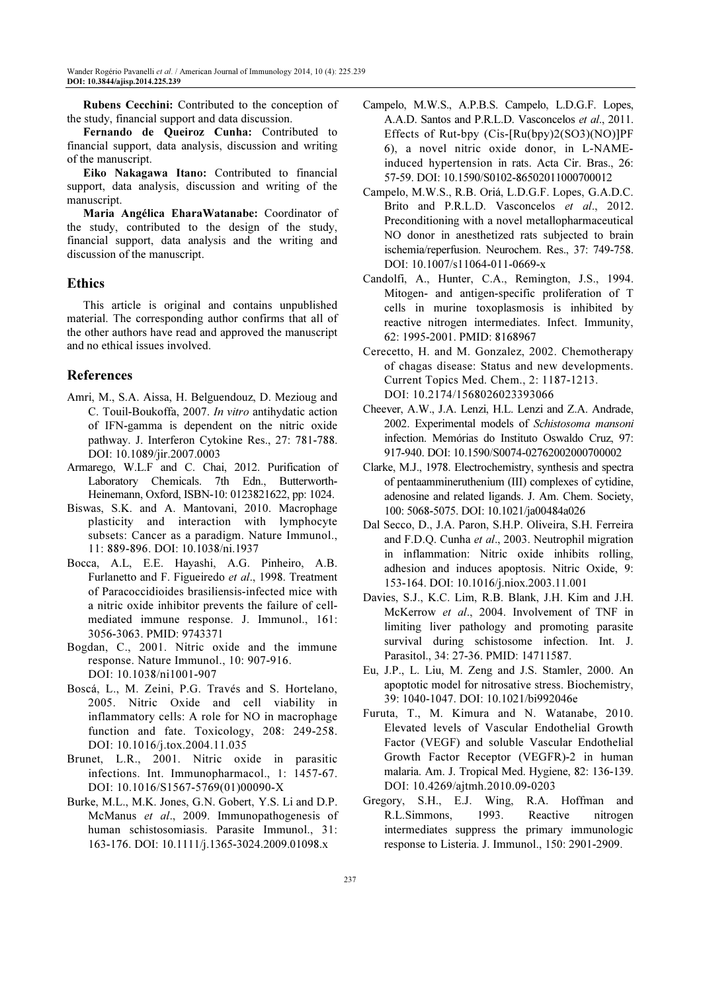Rubens Cecchini: Contributed to the conception of the study, financial support and data discussion.

Fernando de Queiroz Cunha: Contributed to financial support, data analysis, discussion and writing of the manuscript.

Eiko Nakagawa Itano: Contributed to financial support, data analysis, discussion and writing of the manuscript.

Maria Angélica EharaWatanabe: Coordinator of the study, contributed to the design of the study, financial support, data analysis and the writing and discussion of the manuscript.

# Ethics

This article is original and contains unpublished material. The corresponding author confirms that all of the other authors have read and approved the manuscript and no ethical issues involved.

# References

- Amri, M., S.A. Aissa, H. Belguendouz, D. Mezioug and C. Touil-Boukoffa, 2007. In vitro antihydatic action of IFN-gamma is dependent on the nitric oxide pathway. J. Interferon Cytokine Res., 27: 781-788. DOI: 10.1089/jir.2007.0003
- Armarego, W.L.F and C. Chai, 2012. Purification of Laboratory Chemicals. 7th Edn., Butterworth-Heinemann, Oxford, ISBN-10: 0123821622, pp: 1024.
- Biswas, S.K. and A. Mantovani, 2010. Macrophage plasticity and interaction with lymphocyte subsets: Cancer as a paradigm. Nature Immunol., 11: 889-896. DOI: 10.1038/ni.1937
- Bocca, A.L, E.E. Hayashi, A.G. Pinheiro, A.B. Furlanetto and F. Figueiredo et al., 1998. Treatment of Paracoccidioides brasiliensis-infected mice with a nitric oxide inhibitor prevents the failure of cellmediated immune response. J. Immunol., 161: 3056-3063. PMID: 9743371
- Bogdan, C., 2001. Nitric oxide and the immune response. Nature Immunol., 10: 907-916. DOI: 10.1038/ni1001-907
- Boscá, L., M. Zeini, P.G. Través and S. Hortelano, 2005. Nitric Oxide and cell viability in inflammatory cells: A role for NO in macrophage function and fate. Toxicology, 208: 249-258. DOI: 10.1016/j.tox.2004.11.035
- Brunet, L.R., 2001. Nitric oxide in parasitic infections. Int. Immunopharmacol., 1: 1457-67. DOI: 10.1016/S1567-5769(01)00090-X
- Burke, M.L., M.K. Jones, G.N. Gobert, Y.S. Li and D.P. McManus et al., 2009. Immunopathogenesis of human schistosomiasis. Parasite Immunol., 31: 163-176. DOI: 10.1111/j.1365-3024.2009.01098.x
- Campelo, M.W.S., A.P.B.S. Campelo, L.D.G.F. Lopes, A.A.D. Santos and P.R.L.D. Vasconcelos et al., 2011. Effects of Rut-bpy (Cis-[Ru(bpy)2(SO3)(NO)]PF 6), a novel nitric oxide donor, in L-NAMEinduced hypertension in rats. Acta Cir. Bras., 26: 57-59. DOI: 10.1590/S0102-86502011000700012
- Campelo, M.W.S., R.B. Oriá, L.D.G.F. Lopes, G.A.D.C. Brito and P.R.L.D. Vasconcelos et al., 2012. Preconditioning with a novel metallopharmaceutical NO donor in anesthetized rats subjected to brain ischemia/reperfusion. Neurochem. Res., 37: 749-758. DOI: 10.1007/s11064-011-0669-x
- Candolfi, A., Hunter, C.A., Remington, J.S., 1994. Mitogen- and antigen-specific proliferation of T cells in murine toxoplasmosis is inhibited by reactive nitrogen intermediates. Infect. Immunity, 62: 1995-2001. PMID: 8168967
- Cerecetto, H. and M. Gonzalez, 2002. Chemotherapy of chagas disease: Status and new developments. Current Topics Med. Chem., 2: 1187-1213. DOI: 10.2174/1568026023393066
- Cheever, A.W., J.A. Lenzi, H.L. Lenzi and Z.A. Andrade, 2002. Experimental models of Schistosoma mansoni infection. Memórias do Instituto Oswaldo Cruz, 97: 917-940. DOI: 10.1590/S0074-02762002000700002
- Clarke, M.J., 1978. Electrochemistry, synthesis and spectra of pentaammineruthenium (III) complexes of cytidine, adenosine and related ligands. J. Am. Chem. Society, 100: 5068-5075. DOI: 10.1021/ja00484a026
- Dal Secco, D., J.A. Paron, S.H.P. Oliveira, S.H. Ferreira and F.D.Q. Cunha et al., 2003. Neutrophil migration in inflammation: Nitric oxide inhibits rolling, adhesion and induces apoptosis. Nitric Oxide, 9: 153-164. DOI: 10.1016/j.niox.2003.11.001
- Davies, S.J., K.C. Lim, R.B. Blank, J.H. Kim and J.H. McKerrow et al., 2004. Involvement of TNF in limiting liver pathology and promoting parasite survival during schistosome infection. Int. J. Parasitol., 34: 27-36. PMID: 14711587.
- Eu, J.P., L. Liu, M. Zeng and J.S. Stamler, 2000. An apoptotic model for nitrosative stress. Biochemistry, 39: 1040-1047. DOI: 10.1021/bi992046e
- Furuta, T., M. Kimura and N. Watanabe, 2010. Elevated levels of Vascular Endothelial Growth Factor (VEGF) and soluble Vascular Endothelial Growth Factor Receptor (VEGFR)-2 in human malaria. Am. J. Tropical Med. Hygiene, 82: 136-139. DOI: 10.4269/ajtmh.2010.09-0203
- Gregory, S.H., E.J. Wing, R.A. Hoffman and R.L.Simmons, 1993. Reactive nitrogen intermediates suppress the primary immunologic response to Listeria. J. Immunol., 150: 2901-2909.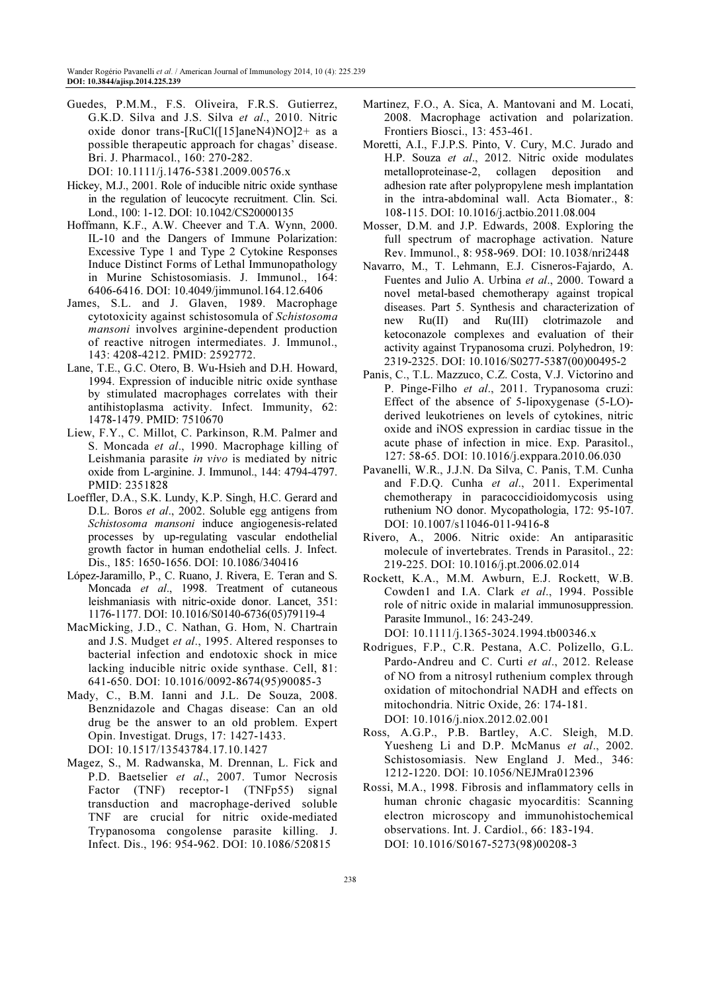Guedes, P.M.M., F.S. Oliveira, F.R.S. Gutierrez, G.K.D. Silva and J.S. Silva et al., 2010. Nitric oxide donor trans-[RuCl([15]aneN4)NO]2+ as a possible therapeutic approach for chagas' disease. Bri. J. Pharmacol., 160: 270-282.

DOI: 10.1111/j.1476-5381.2009.00576.x

- Hickey, M.J., 2001. Role of inducible nitric oxide synthase in the regulation of leucocyte recruitment. Clin. Sci. Lond., 100: 1-12. DOI: 10.1042/CS20000135
- Hoffmann, K.F., A.W. Cheever and T.A. Wynn, 2000. IL-10 and the Dangers of Immune Polarization: Excessive Type 1 and Type 2 Cytokine Responses Induce Distinct Forms of Lethal Immunopathology in Murine Schistosomiasis. J. Immunol., 164: 6406-6416. DOI: 10.4049/jimmunol.164.12.6406
- James, S.L. and J. Glaven, 1989. Macrophage cytotoxicity against schistosomula of Schistosoma mansoni involves arginine-dependent production of reactive nitrogen intermediates. J. Immunol., 143: 4208-4212. PMID: 2592772.
- Lane, T.E., G.C. Otero, B. Wu-Hsieh and D.H. Howard, 1994. Expression of inducible nitric oxide synthase by stimulated macrophages correlates with their antihistoplasma activity. Infect. Immunity, 62: 1478-1479. PMID: 7510670
- Liew, F.Y., C. Millot, C. Parkinson, R.M. Palmer and S. Moncada et al., 1990. Macrophage killing of Leishmania parasite in vivo is mediated by nitric oxide from L-arginine. J. Immunol., 144: 4794-4797. PMID: 2351828
- Loeffler, D.A., S.K. Lundy, K.P. Singh, H.C. Gerard and D.L. Boros *et al.*, 2002. Soluble egg antigens from Schistosoma mansoni induce angiogenesis-related processes by up-regulating vascular endothelial growth factor in human endothelial cells. J. Infect. Dis., 185: 1650-1656. DOI: 10.1086/340416
- López-Jaramillo, P., C. Ruano, J. Rivera, E. Teran and S. Moncada et al., 1998. Treatment of cutaneous leishmaniasis with nitric-oxide donor. Lancet, 351: 1176-1177. DOI: 10.1016/S0140-6736(05)79119-4
- MacMicking, J.D., C. Nathan, G. Hom, N. Chartrain and J.S. Mudget et al., 1995. Altered responses to bacterial infection and endotoxic shock in mice lacking inducible nitric oxide synthase. Cell, 81: 641-650. DOI: 10.1016/0092-8674(95)90085-3
- Mady, C., B.M. Ianni and J.L. De Souza, 2008. Benznidazole and Chagas disease: Can an old drug be the answer to an old problem. Expert Opin. Investigat. Drugs, 17: 1427-1433. DOI: 10.1517/13543784.17.10.1427
- Magez, S., M. Radwanska, M. Drennan, L. Fick and P.D. Baetselier et al., 2007. Tumor Necrosis Factor (TNF) receptor-1 (TNFp55) signal transduction and macrophage-derived soluble TNF are crucial for nitric oxide-mediated Trypanosoma congolense parasite killing. J. Infect. Dis., 196: 954-962. DOI: 10.1086/520815
- Martinez, F.O., A. Sica, A. Mantovani and M. Locati, 2008. Macrophage activation and polarization. Frontiers Biosci., 13: 453-461.
- Moretti, A.I., F.J.P.S. Pinto, V. Cury, M.C. Jurado and H.P. Souza et al., 2012. Nitric oxide modulates metalloproteinase-2, collagen deposition and adhesion rate after polypropylene mesh implantation in the intra-abdominal wall. Acta Biomater., 8: 108-115. DOI: 10.1016/j.actbio.2011.08.004
- Mosser, D.M. and J.P. Edwards, 2008. Exploring the full spectrum of macrophage activation. Nature Rev. Immunol., 8: 958-969. DOI: 10.1038/nri2448
- Navarro, M., T. Lehmann, E.J. Cisneros-Fajardo, A. Fuentes and Julio A. Urbina et al., 2000. Toward a novel metal-based chemotherapy against tropical diseases. Part 5. Synthesis and characterization of new Ru(II) and Ru(III) clotrimazole and ketoconazole complexes and evaluation of their activity against Trypanosoma cruzi. Polyhedron, 19: 2319-2325. DOI: 10.1016/S0277-5387(00)00495-2
- Panis, C., T.L. Mazzuco, C.Z. Costa, V.J. Victorino and P. Pinge-Filho et al., 2011. Trypanosoma cruzi: Effect of the absence of 5-lipoxygenase (5-LO) derived leukotrienes on levels of cytokines, nitric oxide and iNOS expression in cardiac tissue in the acute phase of infection in mice. Exp. Parasitol., 127: 58-65. DOI: 10.1016/j.exppara.2010.06.030
- Pavanelli, W.R., J.J.N. Da Silva, C. Panis, T.M. Cunha and F.D.Q. Cunha et al., 2011. Experimental chemotherapy in paracoccidioidomycosis using ruthenium NO donor. Mycopathologia, 172: 95-107. DOI: 10.1007/s11046-011-9416-8
- Rivero, A., 2006. Nitric oxide: An antiparasitic molecule of invertebrates. Trends in Parasitol., 22: 219-225. DOI: 10.1016/j.pt.2006.02.014
- Rockett, K.A., M.M. Awburn, E.J. Rockett, W.B. Cowden1 and I.A. Clark et al., 1994. Possible role of nitric oxide in malarial immunosuppression. Parasite Immunol., 16: 243-249.

DOI: 10.1111/j.1365-3024.1994.tb00346.x

- Rodrigues, F.P., C.R. Pestana, A.C. Polizello, G.L. Pardo-Andreu and C. Curti et al., 2012. Release of NO from a nitrosyl ruthenium complex through oxidation of mitochondrial NADH and effects on mitochondria. Nitric Oxide, 26: 174-181. DOI: 10.1016/j.niox.2012.02.001
- Ross, A.G.P., P.B. Bartley, A.C. Sleigh, M.D. Yuesheng Li and D.P. McManus et al., 2002. Schistosomiasis. New England J. Med., 346: 1212-1220. DOI: 10.1056/NEJMra012396
- Rossi, M.A., 1998. Fibrosis and inflammatory cells in human chronic chagasic myocarditis: Scanning electron microscopy and immunohistochemical observations. Int. J. Cardiol., 66: 183-194. DOI: 10.1016/S0167-5273(98)00208-3